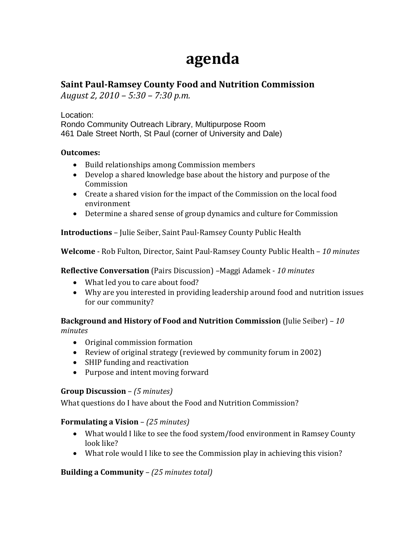# **agenda**

# **Saint PaulRamsey County Food and Nutrition Commission**

*August 2, 2010 – 5:30 – 7:30 p.m.*

Location: Rondo Community Outreach Library, Multipurpose Room 461 Dale Street North, St Paul (corner of University and Dale)

### **Outcomes:**

- Build relationships among Commission members
- Develop a shared knowledge base about the history and purpose of the Commission
- Create a shared vision for the impact of the Commission on the local food environment
- Determine a shared sense of group dynamics and culture for Commission

**Introductions** – Julie Seiber, Saint Paul‐Ramsey County Public Health

**Welcome** ‐ Rob Fulton, Director, Saint Paul‐Ramsey County Public Health – *10 minutes*

**Reflective Conversation** (Pairs Discussion) *–*Maggi Adamek ‐ *10 minutes*

- What led you to care about food?
- Why are you interested in providing leadership around food and nutrition issues for our community?

**Background and History of Food and Nutrition Commission** (Julie Seiber) – *10 minutes*

- Original commission formation
- Review of original strategy (reviewed by community forum in 2002)
- SHIP funding and reactivation
- Purpose and intent moving forward

# **Group Discussion** – *(5 minutes)*

What questions do I have about the Food and Nutrition Commission?

# **Formulating a Vision** – *(25 minutes)*

- What would I like to see the food system/food environment in Ramsey County look like?
- What role would I like to see the Commission play in achieving this vision?

**Building a Community** *– (25 minutes total)*